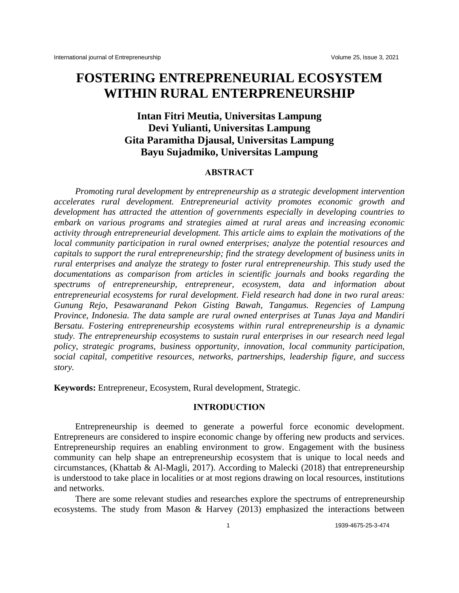# **FOSTERING ENTREPRENEURIAL ECOSYSTEM WITHIN RURAL ENTERPRENEURSHIP**

# **Intan Fitri Meutia, Universitas Lampung Devi Yulianti, Universitas Lampung Gita Paramitha Djausal, Universitas Lampung Bayu Sujadmiko, Universitas Lampung**

#### **ABSTRACT**

*Promoting rural development by entrepreneurship as a strategic development intervention accelerates rural development. Entrepreneurial activity promotes economic growth and development has attracted the attention of governments especially in developing countries to embark on various programs and strategies aimed at rural areas and increasing economic activity through entrepreneurial development. This article aims to explain the motivations of the local community participation in rural owned enterprises; analyze the potential resources and capitals to support the rural entrepreneurship; find the strategy development of business units in rural enterprises and analyze the strategy to foster rural entrepreneurship. This study used the documentations as comparison from articles in scientific journals and books regarding the spectrums of entrepreneurship, entrepreneur, ecosystem, data and information about entrepreneurial ecosystems for rural development. Field research had done in two rural areas: Gunung Rejo, Pesawaranand Pekon Gisting Bawah, Tangamus. Regencies of Lampung Province, Indonesia. The data sample are rural owned enterprises at Tunas Jaya and Mandiri Bersatu. Fostering entrepreneurship ecosystems within rural entrepreneurship is a dynamic study. The entrepreneurship ecosystems to sustain rural enterprises in our research need legal policy, strategic programs, business opportunity, innovation, local community participation, social capital, competitive resources, networks, partnerships, leadership figure, and success story.*

**Keywords:** Entrepreneur, Ecosystem, Rural development, Strategic.

# **INTRODUCTION**

Entrepreneurship is deemed to generate a powerful force economic development. Entrepreneurs are considered to inspire economic change by offering new products and services. Entrepreneurship requires an enabling environment to grow. Engagement with the business community can help shape an entrepreneurship ecosystem that is unique to local needs and circumstances, (Khattab & Al-Magli, 2017). According to Malecki (2018) that entrepreneurship is understood to take place in localities or at most regions drawing on local resources, institutions and networks.

There are some relevant studies and researches explore the spectrums of entrepreneurship ecosystems. The study from Mason & Harvey (2013) emphasized the interactions between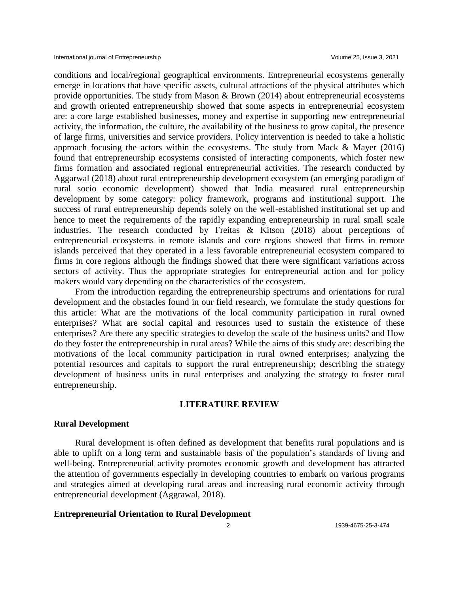conditions and local/regional geographical environments. Entrepreneurial ecosystems generally emerge in locations that have specific assets, cultural attractions of the physical attributes which provide opportunities. The study from Mason & Brown (2014) about entrepreneurial ecosystems and growth oriented entrepreneurship showed that some aspects in entrepreneurial ecosystem are: a core large established businesses, money and expertise in supporting new entrepreneurial activity, the information, the culture, the availability of the business to grow capital, the presence of large firms, universities and service providers. Policy intervention is needed to take a holistic approach focusing the actors within the ecosystems. The study from Mack & Mayer (2016) found that entrepreneurship ecosystems consisted of interacting components, which foster new firms formation and associated regional entrepreneurial activities. The research conducted by Aggarwal (2018) about rural entrepreneurship development ecosystem (an emerging paradigm of rural socio economic development) showed that India measured rural entrepreneurship development by some category: policy framework, programs and institutional support. The success of rural entrepreneurship depends solely on the well-established institutional set up and hence to meet the requirements of the rapidly expanding entrepreneurship in rural small scale industries. The research conducted by Freitas & Kitson (2018) about perceptions of entrepreneurial ecosystems in remote islands and core regions showed that firms in remote islands perceived that they operated in a less favorable entrepreneurial ecosystem compared to firms in core regions although the findings showed that there were significant variations across sectors of activity. Thus the appropriate strategies for entrepreneurial action and for policy makers would vary depending on the characteristics of the ecosystem.

From the introduction regarding the entrepreneurship spectrums and orientations for rural development and the obstacles found in our field research, we formulate the study questions for this article: What are the motivations of the local community participation in rural owned enterprises? What are social capital and resources used to sustain the existence of these enterprises? Are there any specific strategies to develop the scale of the business units? and How do they foster the entrepreneurship in rural areas? While the aims of this study are: describing the motivations of the local community participation in rural owned enterprises; analyzing the potential resources and capitals to support the rural entrepreneurship; describing the strategy development of business units in rural enterprises and analyzing the strategy to foster rural entrepreneurship.

# **LITERATURE REVIEW**

## **Rural Development**

Rural development is often defined as development that benefits rural populations and is able to uplift on a long term and sustainable basis of the population's standards of living and well-being. Entrepreneurial activity promotes economic growth and development has attracted the attention of governments especially in developing countries to embark on various programs and strategies aimed at developing rural areas and increasing rural economic activity through entrepreneurial development (Aggrawal, 2018).

# **Entrepreneurial Orientation to Rural Development**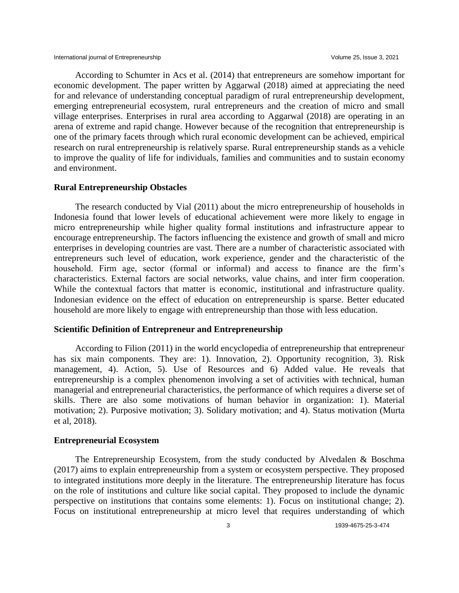According to Schumter in Acs et al. (2014) that entrepreneurs are somehow important for economic development. The paper written by Aggarwal (2018) aimed at appreciating the need for and relevance of understanding conceptual paradigm of rural entrepreneurship development, emerging entrepreneurial ecosystem, rural entrepreneurs and the creation of micro and small village enterprises. Enterprises in rural area according to Aggarwal (2018) are operating in an arena of extreme and rapid change. However because of the recognition that entrepreneurship is one of the primary facets through which rural economic development can be achieved, empirical research on rural entrepreneurship is relatively sparse. Rural entrepreneurship stands as a vehicle to improve the quality of life for individuals, families and communities and to sustain economy and environment.

# **Rural Entrepreneurship Obstacles**

The research conducted by Vial (2011) about the micro entrepreneurship of households in Indonesia found that lower levels of educational achievement were more likely to engage in micro entrepreneurship while higher quality formal institutions and infrastructure appear to encourage entrepreneurship. The factors influencing the existence and growth of small and micro enterprises in developing countries are vast. There are a number of characteristic associated with entrepreneurs such level of education, work experience, gender and the characteristic of the household. Firm age, sector (formal or informal) and access to finance are the firm's characteristics. External factors are social networks, value chains, and inter firm cooperation. While the contextual factors that matter is economic, institutional and infrastructure quality. Indonesian evidence on the effect of education on entrepreneurship is sparse. Better educated household are more likely to engage with entrepreneurship than those with less education.

#### **Scientific Definition of Entrepreneur and Entrepreneurship**

According to Filion (2011) in the world encyclopedia of entrepreneurship that entrepreneur has six main components. They are: 1). Innovation, 2). Opportunity recognition, 3). Risk management, 4). Action, 5). Use of Resources and 6) Added value. He reveals that entrepreneurship is a complex phenomenon involving a set of activities with technical, human managerial and entrepreneurial characteristics, the performance of which requires a diverse set of skills. There are also some motivations of human behavior in organization: 1). Material motivation; 2). Purposive motivation; 3). Solidary motivation; and 4). Status motivation (Murta et al, 2018).

#### **Entrepreneurial Ecosystem**

The Entrepreneurship Ecosystem, from the study conducted by Alvedalen & Boschma (2017) aims to explain entrepreneurship from a system or ecosystem perspective. They proposed to integrated institutions more deeply in the literature. The entrepreneurship literature has focus on the role of institutions and culture like social capital. They proposed to include the dynamic perspective on institutions that contains some elements: 1). Focus on institutional change; 2). Focus on institutional entrepreneurship at micro level that requires understanding of which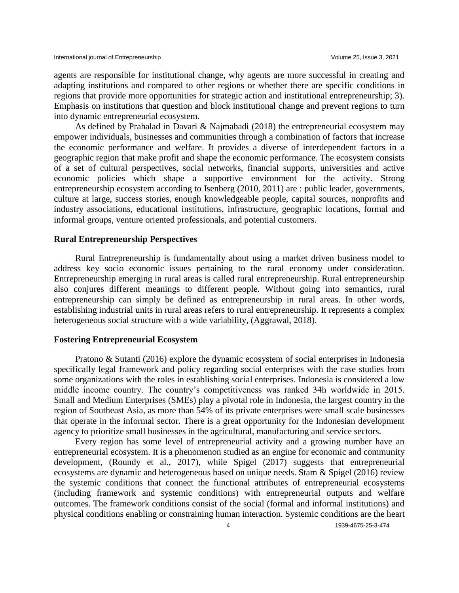agents are responsible for institutional change, why agents are more successful in creating and adapting institutions and compared to other regions or whether there are specific conditions in regions that provide more opportunities for strategic action and institutional entrepreneurship; 3). Emphasis on institutions that question and block institutional change and prevent regions to turn into dynamic entrepreneurial ecosystem.

As defined by Prahalad in Davari & Najmabadi (2018) the entrepreneurial ecosystem may empower individuals, businesses and communities through a combination of factors that increase the economic performance and welfare. It provides a diverse of interdependent factors in a geographic region that make profit and shape the economic performance. The ecosystem consists of a set of cultural perspectives, social networks, financial supports, universities and active economic policies which shape a supportive environment for the activity. Strong entrepreneurship ecosystem according to Isenberg (2010, 2011) are : public leader, governments, culture at large, success stories, enough knowledgeable people, capital sources, nonprofits and industry associations, educational institutions, infrastructure, geographic locations, formal and informal groups, venture oriented professionals, and potential customers.

#### **Rural Entrepreneurship Perspectives**

Rural Entrepreneurship is fundamentally about using a market driven business model to address key socio economic issues pertaining to the rural economy under consideration. Entrepreneurship emerging in rural areas is called rural entrepreneurship. Rural entrepreneurship also conjures different meanings to different people. Without going into semantics, rural entrepreneurship can simply be defined as entrepreneurship in rural areas. In other words, establishing industrial units in rural areas refers to rural entrepreneurship. It represents a complex heterogeneous social structure with a wide variability, (Aggrawal, 2018).

#### **Fostering Entrepreneurial Ecosystem**

Pratono & Sutanti (2016) explore the dynamic ecosystem of social enterprises in Indonesia specifically legal framework and policy regarding social enterprises with the case studies from some organizations with the roles in establishing social enterprises. Indonesia is considered a low middle income country. The country's competitiveness was ranked 34h worldwide in 2015. Small and Medium Enterprises (SMEs) play a pivotal role in Indonesia, the largest country in the region of Southeast Asia, as more than 54% of its private enterprises were small scale businesses that operate in the informal sector. There is a great opportunity for the Indonesian development agency to prioritize small businesses in the agricultural, manufacturing and service sectors.

Every region has some level of entrepreneurial activity and a growing number have an entrepreneurial ecosystem. It is a phenomenon studied as an engine for economic and community development, (Roundy et al., 2017), while Spigel (2017) suggests that entrepreneurial ecosystems are dynamic and heterogeneous based on unique needs. Stam & Spigel (2016) review the systemic conditions that connect the functional attributes of entrepreneurial ecosystems (including framework and systemic conditions) with entrepreneurial outputs and welfare outcomes. The framework conditions consist of the social (formal and informal institutions) and physical conditions enabling or constraining human interaction. Systemic conditions are the heart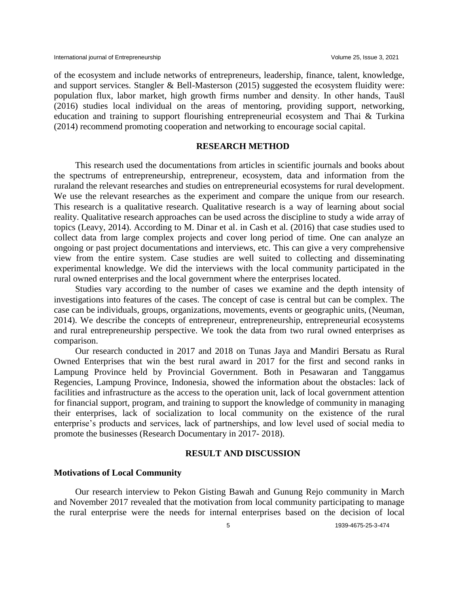of the ecosystem and include networks of entrepreneurs, leadership, finance, talent, knowledge, and support services. Stangler & Bell-Masterson (2015) suggested the ecosystem fluidity were: population flux, labor market, high growth firms number and density. In other hands, Taušl (2016) studies local individual on the areas of mentoring, providing support, networking, education and training to support flourishing entrepreneurial ecosystem and Thai & Turkina (2014) recommend promoting cooperation and networking to encourage social capital.

## **RESEARCH METHOD**

This research used the documentations from articles in scientific journals and books about the spectrums of entrepreneurship, entrepreneur, ecosystem, data and information from the ruraland the relevant researches and studies on entrepreneurial ecosystems for rural development. We use the relevant researches as the experiment and compare the unique from our research. This research is a qualitative research. Qualitative research is a way of learning about social reality. Qualitative research approaches can be used across the discipline to study a wide array of topics (Leavy, 2014). According to M. Dinar et al. in Cash et al. (2016) that case studies used to collect data from large complex projects and cover long period of time. One can analyze an ongoing or past project documentations and interviews, etc. This can give a very comprehensive view from the entire system. Case studies are well suited to collecting and disseminating experimental knowledge. We did the interviews with the local community participated in the rural owned enterprises and the local government where the enterprises located.

Studies vary according to the number of cases we examine and the depth intensity of investigations into features of the cases. The concept of case is central but can be complex. The case can be individuals, groups, organizations, movements, events or geographic units, (Neuman, 2014). We describe the concepts of entrepreneur, entrepreneurship, entrepreneurial ecosystems and rural entrepreneurship perspective. We took the data from two rural owned enterprises as comparison.

Our research conducted in 2017 and 2018 on Tunas Jaya and Mandiri Bersatu as Rural Owned Enterprises that win the best rural award in 2017 for the first and second ranks in Lampung Province held by Provincial Government. Both in Pesawaran and Tanggamus Regencies, Lampung Province, Indonesia, showed the information about the obstacles: lack of facilities and infrastructure as the access to the operation unit, lack of local government attention for financial support, program, and training to support the knowledge of community in managing their enterprises, lack of socialization to local community on the existence of the rural enterprise's products and services, lack of partnerships, and low level used of social media to promote the businesses (Research Documentary in 2017- 2018).

# **RESULT AND DISCUSSION**

#### **Motivations of Local Community**

Our research interview to Pekon Gisting Bawah and Gunung Rejo community in March and November 2017 revealed that the motivation from local community participating to manage the rural enterprise were the needs for internal enterprises based on the decision of local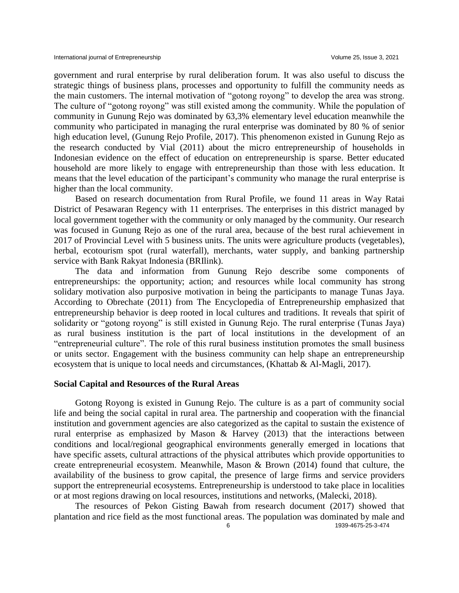government and rural enterprise by rural deliberation forum. It was also useful to discuss the strategic things of business plans, processes and opportunity to fulfill the community needs as the main customers. The internal motivation of "gotong royong" to develop the area was strong. The culture of "gotong royong" was still existed among the community. While the population of community in Gunung Rejo was dominated by 63,3% elementary level education meanwhile the community who participated in managing the rural enterprise was dominated by 80 % of senior high education level, (Gunung Rejo Profile, 2017). This phenomenon existed in Gunung Rejo as the research conducted by Vial (2011) about the micro entrepreneurship of households in Indonesian evidence on the effect of education on entrepreneurship is sparse. Better educated household are more likely to engage with entrepreneurship than those with less education. It means that the level education of the participant's community who manage the rural enterprise is higher than the local community.

Based on research documentation from Rural Profile, we found 11 areas in Way Ratai District of Pesawaran Regency with 11 enterprises. The enterprises in this district managed by local government together with the community or only managed by the community. Our research was focused in Gunung Rejo as one of the rural area, because of the best rural achievement in 2017 of Provincial Level with 5 business units. The units were agriculture products (vegetables), herbal, ecotourism spot (rural waterfall), merchants, water supply, and banking partnership service with Bank Rakyat Indonesia (BRIlink).

The data and information from Gunung Rejo describe some components of entrepreneurships: the opportunity; action; and resources while local community has strong solidary motivation also purposive motivation in being the participants to manage Tunas Jaya. According to Obrechate (2011) from The Encyclopedia of Entrepreneurship emphasized that entrepreneurship behavior is deep rooted in local cultures and traditions. It reveals that spirit of solidarity or "gotong royong" is still existed in Gunung Rejo. The rural enterprise (Tunas Jaya) as rural business institution is the part of local institutions in the development of an "entrepreneurial culture". The role of this rural business institution promotes the small business or units sector. Engagement with the business community can help shape an entrepreneurship ecosystem that is unique to local needs and circumstances, (Khattab & Al-Magli, 2017).

#### **Social Capital and Resources of the Rural Areas**

Gotong Royong is existed in Gunung Rejo. The culture is as a part of community social life and being the social capital in rural area. The partnership and cooperation with the financial institution and government agencies are also categorized as the capital to sustain the existence of rural enterprise as emphasized by Mason & Harvey (2013) that the interactions between conditions and local/regional geographical environments generally emerged in locations that have specific assets, cultural attractions of the physical attributes which provide opportunities to create entrepreneurial ecosystem. Meanwhile, Mason & Brown (2014) found that culture, the availability of the business to grow capital, the presence of large firms and service providers support the entrepreneurial ecosystems. Entrepreneurship is understood to take place in localities or at most regions drawing on local resources, institutions and networks, (Malecki, 2018).

The resources of Pekon Gisting Bawah from research document (2017) showed that plantation and rice field as the most functional areas. The population was dominated by male and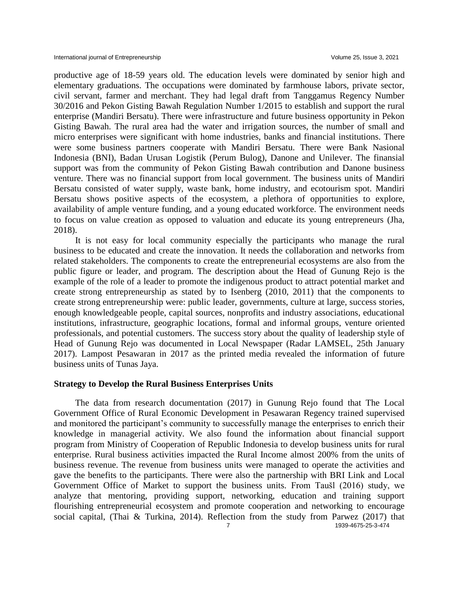productive age of 18-59 years old. The education levels were dominated by senior high and elementary graduations. The occupations were dominated by farmhouse labors, private sector, civil servant, farmer and merchant. They had legal draft from Tanggamus Regency Number 30/2016 and Pekon Gisting Bawah Regulation Number 1/2015 to establish and support the rural enterprise (Mandiri Bersatu). There were infrastructure and future business opportunity in Pekon Gisting Bawah. The rural area had the water and irrigation sources, the number of small and micro enterprises were significant with home industries, banks and financial institutions. There were some business partners cooperate with Mandiri Bersatu. There were Bank Nasional Indonesia (BNI), Badan Urusan Logistik (Perum Bulog), Danone and Unilever. The finansial support was from the community of Pekon Gisting Bawah contribution and Danone business venture. There was no financial support from local government. The business units of Mandiri Bersatu consisted of water supply, waste bank, home industry, and ecotourism spot. Mandiri Bersatu shows positive aspects of the ecosystem, a plethora of opportunities to explore, availability of ample venture funding, and a young educated workforce. The environment needs to focus on value creation as opposed to valuation and educate its young entrepreneurs (Jha, 2018).

It is not easy for local community especially the participants who manage the rural business to be educated and create the innovation. It needs the collaboration and networks from related stakeholders. The components to create the entrepreneurial ecosystems are also from the public figure or leader, and program. The description about the Head of Gunung Rejo is the example of the role of a leader to promote the indigenous product to attract potential market and create strong entrepreneurship as stated by to Isenberg (2010, 2011) that the components to create strong entrepreneurship were: public leader, governments, culture at large, success stories, enough knowledgeable people, capital sources, nonprofits and industry associations, educational institutions, infrastructure, geographic locations, formal and informal groups, venture oriented professionals, and potential customers. The success story about the quality of leadership style of Head of Gunung Rejo was documented in Local Newspaper (Radar LAMSEL, 25th January 2017). Lampost Pesawaran in 2017 as the printed media revealed the information of future business units of Tunas Jaya.

#### **Strategy to Develop the Rural Business Enterprises Units**

The data from research documentation (2017) in Gunung Rejo found that The Local Government Office of Rural Economic Development in Pesawaran Regency trained supervised and monitored the participant's community to successfully manage the enterprises to enrich their knowledge in managerial activity. We also found the information about financial support program from Ministry of Cooperation of Republic Indonesia to develop business units for rural enterprise. Rural business activities impacted the Rural Income almost 200% from the units of business revenue. The revenue from business units were managed to operate the activities and gave the benefits to the participants. There were also the partnership with BRI Link and Local Government Office of Market to support the business units. From Taušl (2016) study, we analyze that mentoring, providing support, networking, education and training support flourishing entrepreneurial ecosystem and promote cooperation and networking to encourage social capital, (Thai & Turkina, 2014). Reflection from the study from Parwez (2017) that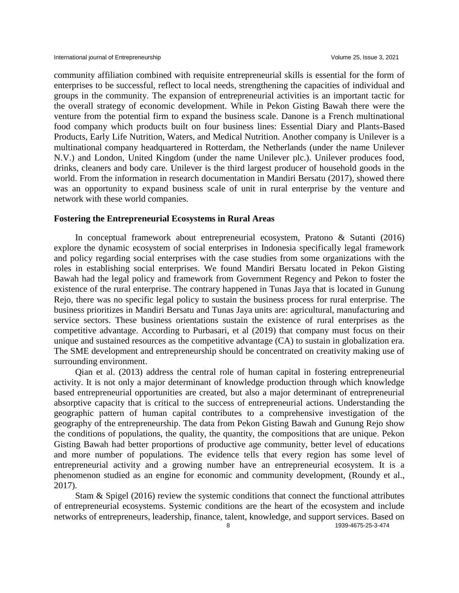community affiliation combined with requisite entrepreneurial skills is essential for the form of enterprises to be successful, reflect to local needs, strengthening the capacities of individual and groups in the community. The expansion of entrepreneurial activities is an important tactic for the overall strategy of economic development. While in Pekon Gisting Bawah there were the venture from the potential firm to expand the business scale. Danone is a French multinational food company which products built on four business lines: Essential Diary and Plants-Based Products, Early Life Nutrition, Waters, and Medical Nutrition. Another company is Unilever is a multinational company headquartered in Rotterdam, the Netherlands (under the name Unilever N.V.) and London, United Kingdom (under the name Unilever plc.). Unilever produces food, drinks, cleaners and body care. Unilever is the third largest producer of household goods in the world. From the information in research documentation in Mandiri Bersatu (2017), showed there was an opportunity to expand business scale of unit in rural enterprise by the venture and network with these world companies.

#### **Fostering the Entrepreneurial Ecosystems in Rural Areas**

In conceptual framework about entrepreneurial ecosystem, Pratono & Sutanti (2016) explore the dynamic ecosystem of social enterprises in Indonesia specifically legal framework and policy regarding social enterprises with the case studies from some organizations with the roles in establishing social enterprises. We found Mandiri Bersatu located in Pekon Gisting Bawah had the legal policy and framework from Government Regency and Pekon to foster the existence of the rural enterprise. The contrary happened in Tunas Jaya that is located in Gunung Rejo, there was no specific legal policy to sustain the business process for rural enterprise. The business prioritizes in Mandiri Bersatu and Tunas Jaya units are: agricultural, manufacturing and service sectors. These business orientations sustain the existence of rural enterprises as the competitive advantage. According to Purbasari, et al (2019) that company must focus on their unique and sustained resources as the competitive advantage (CA) to sustain in globalization era. The SME development and entrepreneurship should be concentrated on creativity making use of surrounding environment.

Qian et al. (2013) address the central role of human capital in fostering entrepreneurial activity. It is not only a major determinant of knowledge production through which knowledge based entrepreneurial opportunities are created, but also a major determinant of entrepreneurial absorptive capacity that is critical to the success of entrepreneurial actions. Understanding the geographic pattern of human capital contributes to a comprehensive investigation of the geography of the entrepreneurship. The data from Pekon Gisting Bawah and Gunung Rejo show the conditions of populations, the quality, the quantity, the compositions that are unique. Pekon Gisting Bawah had better proportions of productive age community, better level of educations and more number of populations. The evidence tells that every region has some level of entrepreneurial activity and a growing number have an entrepreneurial ecosystem. It is a phenomenon studied as an engine for economic and community development, (Roundy et al., 2017).

Stam & Spigel (2016) review the systemic conditions that connect the functional attributes of entrepreneurial ecosystems. Systemic conditions are the heart of the ecosystem and include networks of entrepreneurs, leadership, finance, talent, knowledge, and support services. Based on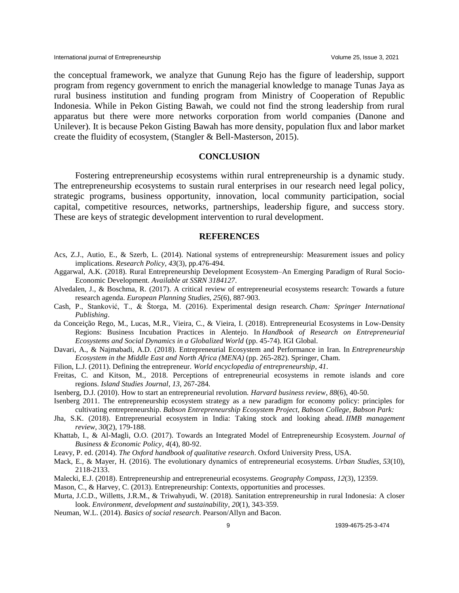the conceptual framework, we analyze that Gunung Rejo has the figure of leadership, support program from regency government to enrich the managerial knowledge to manage Tunas Jaya as rural business institution and funding program from Ministry of Cooperation of Republic Indonesia. While in Pekon Gisting Bawah, we could not find the strong leadership from rural apparatus but there were more networks corporation from world companies (Danone and Unilever). It is because Pekon Gisting Bawah has more density, population flux and labor market create the fluidity of ecosystem, (Stangler & Bell-Masterson, 2015).

#### **CONCLUSION**

Fostering entrepreneurship ecosystems within rural entrepreneurship is a dynamic study. The entrepreneurship ecosystems to sustain rural enterprises in our research need legal policy, strategic programs, business opportunity, innovation, local community participation, social capital, competitive resources, networks, partnerships, leadership figure, and success story. These are keys of strategic development intervention to rural development.

#### **REFERENCES**

- Acs, Z.J., Autio, E., & Szerb, L. (2014). National systems of entrepreneurship: Measurement issues and policy implications. *Research Policy*, *43*(3), pp.476-494.
- Aggarwal, A.K. (2018). Rural Entrepreneurship Development Ecosystem–An Emerging Paradigm of Rural Socio-Economic Development. *Available at SSRN 3184127*.
- Alvedalen, J., & Boschma, R. (2017). A critical review of entrepreneurial ecosystems research: Towards a future research agenda. *European Planning Studies*, *25*(6), 887-903.
- Cash, P., Stanković, T., & Štorga, M. (2016). Experimental design research. *Cham: Springer International Publishing*.
- da Conceição Rego, M., Lucas, M.R., Vieira, C., & Vieira, I. (2018). Entrepreneurial Ecosystems in Low-Density Regions: Business Incubation Practices in Alentejo. In *Handbook of Research on Entrepreneurial Ecosystems and Social Dynamics in a Globalized World* (pp. 45-74). IGI Global.
- Davari, A., & Najmabadi, A.D. (2018). Entrepreneurial Ecosystem and Performance in Iran. In *Entrepreneurship Ecosystem in the Middle East and North Africa (MENA)* (pp. 265-282). Springer, Cham.
- Filion, L.J. (2011). Defining the entrepreneur. *World encyclopedia of entrepreneurship*, *41*.
- Freitas, C. and Kitson, M., 2018. Perceptions of entrepreneurial ecosystems in remote islands and core regions. *Island Studies Journal*, *13*, 267-284.
- Isenberg, D.J. (2010). How to start an entrepreneurial revolution. *Harvard business review*, *88*(6), 40-50.
- Isenberg 2011. The entrepreneurship ecosystem strategy as a new paradigm for economy policy: principles for cultivating entrepreneurship. *Babson Entrepreneurship Ecosystem Project, Babson College, Babson Park:*
- Jha, S.K. (2018). Entrepreneurial ecosystem in India: Taking stock and looking ahead. *IIMB management review*, *30*(2), 179-188.
- Khattab, I., & Al-Magli, O.O. (2017). Towards an Integrated Model of Entrepreneurship Ecosystem. *Journal of Business & Economic Policy*, *4*(4), 80-92.
- Leavy, P. ed. (2014). *The Oxford handbook of qualitative research*. Oxford University Press, USA.
- Mack, E., & Mayer, H. (2016). The evolutionary dynamics of entrepreneurial ecosystems. *Urban Studies*, *53*(10), 2118-2133.
- Malecki, E.J. (2018). Entrepreneurship and entrepreneurial ecosystems. *Geography Compass*, *12*(3), 12359.
- Mason, C., & Harvey, C. (2013). Entrepreneurship: Contexts, opportunities and processes.
- Murta, J.C.D., Willetts, J.R.M., & Triwahyudi, W. (2018). Sanitation entrepreneurship in rural Indonesia: A closer look. *Environment, development and sustainability*, *20*(1), 343-359.
- Neuman, W.L. (2014). *Basics of social research*. Pearson/Allyn and Bacon.